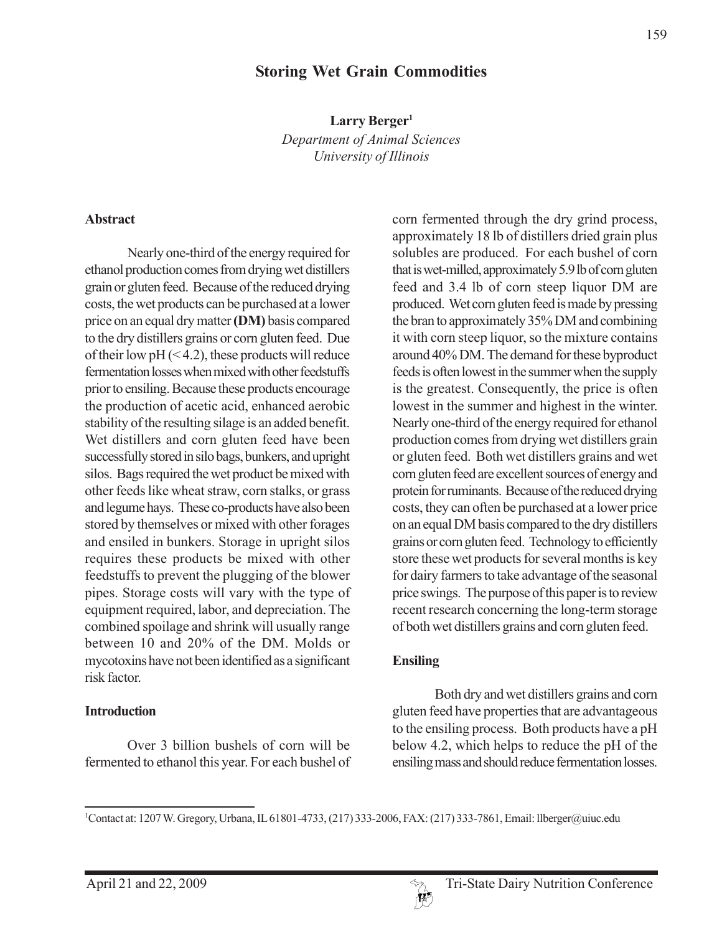# **Storing Wet Grain Commodities**

**Larry Berger1** *Department of Animal Sciences University of Illinois*

### **Abstract**

Nearly one-third of the energy required for ethanol production comes from drying wet distillers grain or gluten feed. Because of the reduced drying costs, the wet products can be purchased at a lower price on an equal dry matter **(DM)** basis compared to the dry distillers grains or corn gluten feed. Due of their low  $pH$  (<4.2), these products will reduce fermentation losses when mixed with other feedstuffs prior to ensiling. Because these products encourage the production of acetic acid, enhanced aerobic stability of the resulting silage is an added benefit. Wet distillers and corn gluten feed have been successfully stored in silo bags, bunkers, and upright silos. Bags required the wet product be mixed with other feeds like wheat straw, corn stalks, or grass and legume hays. These co-products have also been stored by themselves or mixed with other forages and ensiled in bunkers. Storage in upright silos requires these products be mixed with other feedstuffs to prevent the plugging of the blower pipes. Storage costs will vary with the type of equipment required, labor, and depreciation. The combined spoilage and shrink will usually range between 10 and 20% of the DM. Molds or mycotoxins have not been identified as a significant risk factor.

#### **Introduction**

Over 3 billion bushels of corn will be fermented to ethanol this year. For each bushel of corn fermented through the dry grind process, approximately 18 lb of distillers dried grain plus solubles are produced. For each bushel of corn that is wet-milled, approximately 5.9 lb of corn gluten feed and 3.4 lb of corn steep liquor DM are produced. Wet corn gluten feed is made by pressing the bran to approximately 35% DM and combining it with corn steep liquor, so the mixture contains around 40% DM. The demand for these byproduct feeds is often lowest in the summer when the supply is the greatest. Consequently, the price is often lowest in the summer and highest in the winter. Nearly one-third of the energy required for ethanol production comes from drying wet distillers grain or gluten feed. Both wet distillers grains and wet corn gluten feed are excellent sources of energy and protein for ruminants. Because of the reduced drying costs, they can often be purchased at a lower price on an equal DM basis compared to the dry distillers grains or corn gluten feed. Technology to efficiently store these wet products for several months is key for dairy farmers to take advantage of the seasonal price swings. The purpose of this paper is to review recent research concerning the long-term storage of both wet distillers grains and corn gluten feed.

### **Ensiling**

Both dry and wet distillers grains and corn gluten feed have properties that are advantageous to the ensiling process. Both products have a pH below 4.2, which helps to reduce the pH of the ensiling mass and should reduce fermentation losses.



<sup>1</sup> Contact at: 1207 W. Gregory, Urbana, IL 61801-4733, (217) 333-2006, FAX: (217) 333-7861, Email: llberger@uiuc.edu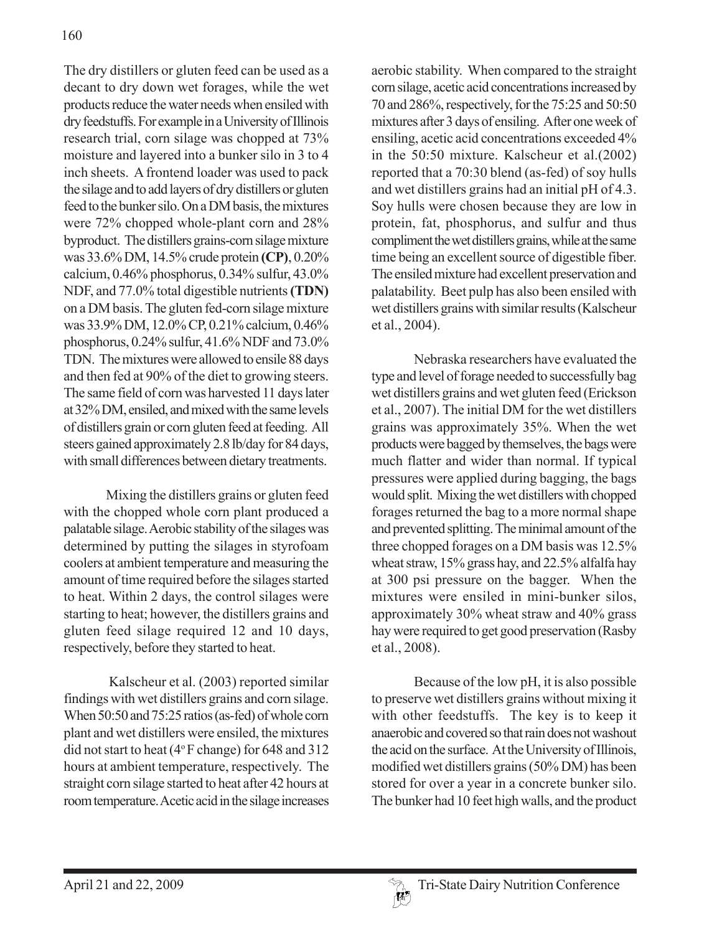The dry distillers or gluten feed can be used as a decant to dry down wet forages, while the wet products reduce the water needs when ensiled with dry feedstuffs. For example in a University of Illinois research trial, corn silage was chopped at 73% moisture and layered into a bunker silo in 3 to 4 inch sheets. A frontend loader was used to pack the silage and to add layers of dry distillers or gluten feed to the bunker silo. On a DM basis, the mixtures were 72% chopped whole-plant corn and 28% byproduct. The distillers grains-corn silage mixture was 33.6% DM, 14.5% crude protein **(CP)**, 0.20% calcium, 0.46% phosphorus, 0.34% sulfur, 43.0% NDF, and 77.0% total digestible nutrients **(TDN)** on a DM basis. The gluten fed-corn silage mixture was 33.9% DM, 12.0% CP, 0.21% calcium, 0.46% phosphorus, 0.24% sulfur, 41.6% NDF and 73.0% TDN. The mixtures were allowed to ensile 88 days and then fed at 90% of the diet to growing steers. The same field of corn was harvested 11 days later at 32% DM, ensiled, and mixed with the same levels of distillers grain or corn gluten feed at feeding. All steers gained approximately 2.8 lb/day for 84 days, with small differences between dietary treatments.

Mixing the distillers grains or gluten feed with the chopped whole corn plant produced a palatable silage. Aerobic stability of the silages was determined by putting the silages in styrofoam coolers at ambient temperature and measuring the amount of time required before the silages started to heat. Within 2 days, the control silages were starting to heat; however, the distillers grains and gluten feed silage required 12 and 10 days, respectively, before they started to heat.

 Kalscheur et al. (2003) reported similar findings with wet distillers grains and corn silage. When 50:50 and 75:25 ratios (as-fed) of whole corn plant and wet distillers were ensiled, the mixtures did not start to heat ( $4^{\circ}$ F change) for 648 and 312 hours at ambient temperature, respectively. The straight corn silage started to heat after 42 hours at room temperature. Acetic acid in the silage increases

aerobic stability. When compared to the straight corn silage, acetic acid concentrations increased by 70 and 286%, respectively, for the 75:25 and 50:50 mixtures after 3 days of ensiling. After one week of ensiling, acetic acid concentrations exceeded 4% in the 50:50 mixture. Kalscheur et al.(2002) reported that a 70:30 blend (as-fed) of soy hulls and wet distillers grains had an initial pH of 4.3. Soy hulls were chosen because they are low in protein, fat, phosphorus, and sulfur and thus compliment the wet distillers grains, while at the same time being an excellent source of digestible fiber. The ensiled mixture had excellent preservation and palatability. Beet pulp has also been ensiled with wet distillers grains with similar results (Kalscheur et al., 2004).

Nebraska researchers have evaluated the type and level of forage needed to successfully bag wet distillers grains and wet gluten feed (Erickson et al., 2007). The initial DM for the wet distillers grains was approximately 35%. When the wet products were bagged by themselves, the bags were much flatter and wider than normal. If typical pressures were applied during bagging, the bags would split. Mixing the wet distillers with chopped forages returned the bag to a more normal shape and prevented splitting. The minimal amount of the three chopped forages on a DM basis was 12.5% wheat straw, 15% grass hay, and 22.5% alfalfa hay at 300 psi pressure on the bagger. When the mixtures were ensiled in mini-bunker silos, approximately 30% wheat straw and 40% grass hay were required to get good preservation (Rasby et al., 2008).

Because of the low pH, it is also possible to preserve wet distillers grains without mixing it with other feedstuffs. The key is to keep it anaerobic and covered so that rain does not washout the acid on the surface. At the University of Illinois, modified wet distillers grains (50% DM) has been stored for over a year in a concrete bunker silo. The bunker had 10 feet high walls, and the product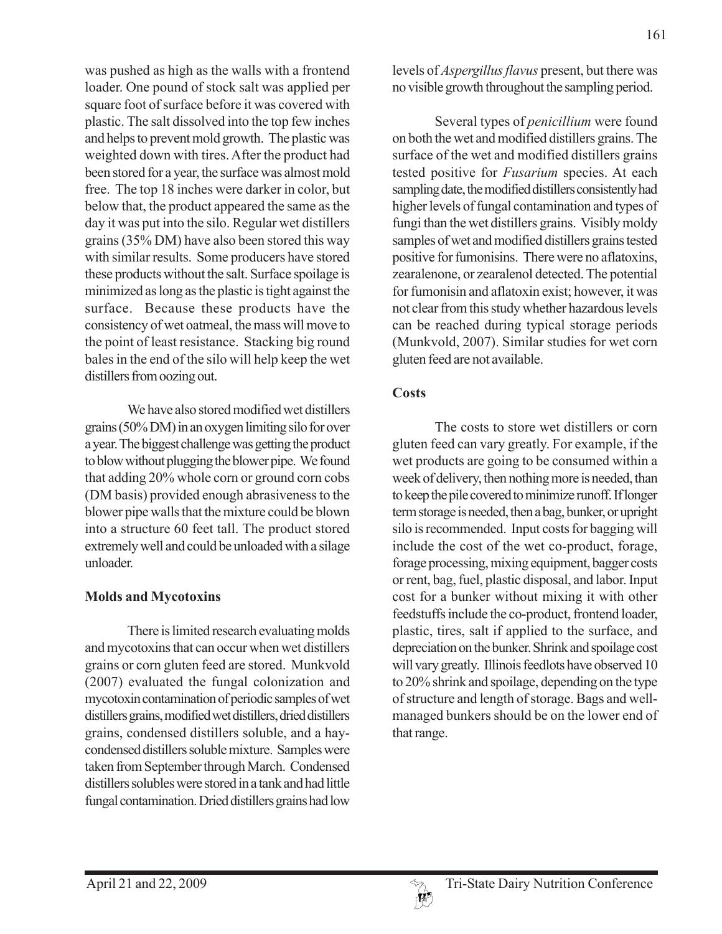was pushed as high as the walls with a frontend loader. One pound of stock salt was applied per square foot of surface before it was covered with plastic. The salt dissolved into the top few inches and helps to prevent mold growth. The plastic was weighted down with tires. After the product had been stored for a year, the surface was almost mold free. The top 18 inches were darker in color, but below that, the product appeared the same as the day it was put into the silo. Regular wet distillers grains (35% DM) have also been stored this way with similar results. Some producers have stored these products without the salt. Surface spoilage is minimized as long as the plastic is tight against the surface. Because these products have the consistency of wet oatmeal, the mass will move to the point of least resistance. Stacking big round bales in the end of the silo will help keep the wet distillers from oozing out.

We have also stored modified wet distillers grains (50% DM) in an oxygen limiting silo for over a year. The biggest challenge was getting the product to blow without plugging the blower pipe. We found that adding 20% whole corn or ground corn cobs (DM basis) provided enough abrasiveness to the blower pipe walls that the mixture could be blown into a structure 60 feet tall. The product stored extremely well and could be unloaded with a silage unloader.

## **Molds and Mycotoxins**

There is limited research evaluating molds and mycotoxins that can occur when wet distillers grains or corn gluten feed are stored. Munkvold (2007) evaluated the fungal colonization and mycotoxin contamination of periodic samples of wet distillers grains, modified wet distillers, dried distillers grains, condensed distillers soluble, and a haycondensed distillers soluble mixture. Samples were taken from September through March. Condensed distillers solubles were stored in a tank and had little fungal contamination. Dried distillers grains had low

levels of *Aspergillus flavus* present, but there was no visible growth throughout the sampling period.

Several types of *penicillium* were found on both the wet and modified distillers grains. The surface of the wet and modified distillers grains tested positive for *Fusarium* species. At each sampling date, the modified distillers consistently had higher levels of fungal contamination and types of fungi than the wet distillers grains. Visibly moldy samples of wet and modified distillers grains tested positive for fumonisins. There were no aflatoxins, zearalenone, or zearalenol detected. The potential for fumonisin and aflatoxin exist; however, it was not clear from this study whether hazardous levels can be reached during typical storage periods (Munkvold, 2007). Similar studies for wet corn gluten feed are not available.

## **Costs**

The costs to store wet distillers or corn gluten feed can vary greatly. For example, if the wet products are going to be consumed within a week of delivery, then nothing more is needed, than to keep the pile covered to minimize runoff. If longer term storage is needed, then a bag, bunker, or upright silo is recommended. Input costs for bagging will include the cost of the wet co-product, forage, forage processing, mixing equipment, bagger costs or rent, bag, fuel, plastic disposal, and labor. Input cost for a bunker without mixing it with other feedstuffs include the co-product, frontend loader, plastic, tires, salt if applied to the surface, and depreciation on the bunker. Shrink and spoilage cost will vary greatly. Illinois feedlots have observed 10 to 20% shrink and spoilage, depending on the type of structure and length of storage. Bags and wellmanaged bunkers should be on the lower end of that range.